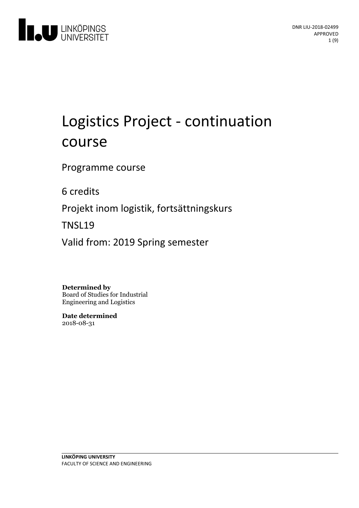

# Logistics Project - continuation course

Programme course

6 credits

Projekt inom logistik, fortsättningskurs

TNSL19

Valid from: 2019 Spring semester

**Determined by**

Board of Studies for Industrial Engineering and Logistics

**Date determined** 2018-08-31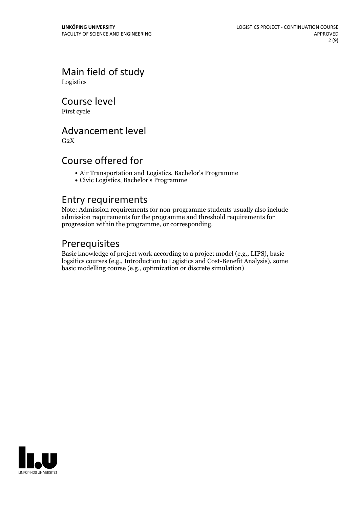Main field of study Logistics

Course level

First cycle

# Advancement level

 $G<sub>2</sub>X$ 

## Course offered for

- Air Transportation and Logistics, Bachelor's Programme
- Civic Logistics, Bachelor's Programme

### Entry requirements

Note: Admission requirements for non-programme students usually also include admission requirements for the programme and threshold requirements for progression within the programme, or corresponding.

## Prerequisites

Basic knowledge of project work according to a project model (e.g., LIPS), basic logsitics courses (e.g., Introduction to Logistics and Cost-Benefit Analysis), some basic modelling course (e.g., optimization or discrete simulation)

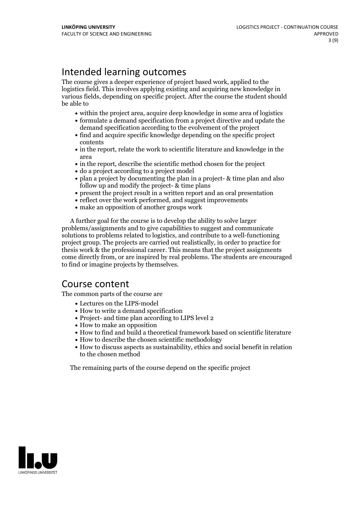# Intended learning outcomes

The course gives a deeper experience of project based work, applied to the logistics field. This involves applying existing and acquiring new knowledge in various fields, depending on specific project. After the course the student should be able to

- within the project area, acquire deep knowledge in some area of logistics
- formulate a demand specification from a project directive and update the demand specification according to the evolvement of the project
- find and acquire specific knowledge depending on the specific project contents
- in the report, relate the work to scientific literature and knowledge in the area
- in the report, describe the scientific method chosen for the project
- do a project according to a project model
- plan a project by documenting the plan in a project- & time plan and also follow up and modify the project- & time plans
- present the project result in a written report and an oral presentation
- reflect over the work performed, and suggest improvements
- make an opposition of another groups work

A further goal for the course is to develop the ability to solve larger problems/assignments and to give capabilities to suggest and communicate solutions to problems related to logistics, and contribute to a well-functioning project group. The projects are carried outrealistically, in order to practice for thesis work  $\&$  the professional career. This means that the project assignments come directly from, or are inspired by real problems. The students are encouraged to find or imagine projects by themselves.

### Course content

The common parts of the course are

- Lectures on the LIPS-model
- How to write a demand specification
- Project- and time plan according to LIPS level 2
- How to make an opposition
- How to find and build a theoretical framework based on scientific literature
- How to describe the chosen scientific methodology
- How to discuss aspects as sustainability, ethics and social benefit in relation to the chosen method

The remaining parts of the course depend on the specific project

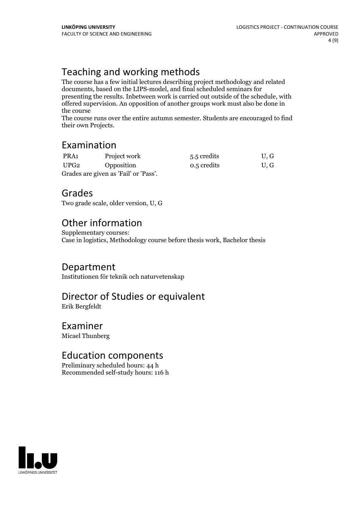# Teaching and working methods

The course has a few initial lectures describing project methodology and related documents, based on the LIPS-model, and final scheduled seminars for presenting the results. Inbetween work is carried out outside of the schedule, with offered supervision. An opposition of another groups work must also be done in the course

The course runs over the entire autumn semester. Students are encouraged to find their own Projects.

# Examination

| PRA <sub>1</sub>                      | Project work | 5.5 credits | U, G |
|---------------------------------------|--------------|-------------|------|
| UPG2                                  | Opposition   | 0.5 credits | U, G |
| Grades are given as 'Fail' or 'Pass'. |              |             |      |

# Grades

Two grade scale, older version, U, G

# Other information

Supplementary courses: Case in logistics, Methodology course before thesis work, Bachelor thesis

### Department

Institutionen för teknik och naturvetenskap

# Director of Studies or equivalent

Erik Bergfeldt

### Examiner

Micael Thunberg

## Education components

Preliminary scheduled hours: 44 h Recommended self-study hours: 116 h

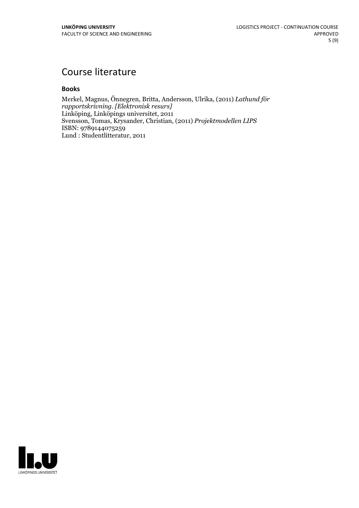# Course literature

### **Books**

Merkel, Magnus, Önnegren, Britta, Andersson, Ulrika, (2011) *Lathund för rapportskrivning. [Elektronisk resurs]* Linköping, Linköpings universitet, 2011 Svensson, Tomas, Krysander, Christian, (2011) *Projektmodellen LIPS* ISBN: 9789144075259 Lund : Studentlitteratur, 2011

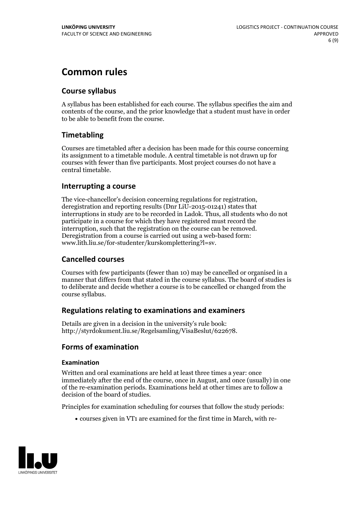# **Common rules**

### **Course syllabus**

A syllabus has been established for each course. The syllabus specifies the aim and contents of the course, and the prior knowledge that a student must have in order to be able to benefit from the course.

### **Timetabling**

Courses are timetabled after a decision has been made for this course concerning its assignment to a timetable module. A central timetable is not drawn up for courses with fewer than five participants. Most project courses do not have a central timetable.

### **Interrupting a course**

The vice-chancellor's decision concerning regulations for registration, deregistration and reporting results (Dnr LiU-2015-01241) states that interruptions in study are to be recorded in Ladok. Thus, all students who do not participate in a course for which they have registered must record the interruption, such that the registration on the course can be removed. Deregistration from <sup>a</sup> course is carried outusing <sup>a</sup> web-based form: www.lith.liu.se/for-studenter/kurskomplettering?l=sv.

### **Cancelled courses**

Courses with few participants (fewer than 10) may be cancelled or organised in a manner that differs from that stated in the course syllabus. The board of studies is to deliberate and decide whether a course is to be cancelled orchanged from the course syllabus.

### **Regulations relatingto examinations and examiners**

Details are given in a decision in the university's rule book: http://styrdokument.liu.se/Regelsamling/VisaBeslut/622678.

### **Forms of examination**

### **Examination**

Written and oral examinations are held at least three times a year: once immediately after the end of the course, once in August, and once (usually) in one of the re-examination periods. Examinations held at other times are to follow a decision of the board of studies.

Principles for examination scheduling for courses that follow the study periods:

courses given in VT1 are examined for the first time in March, with re-

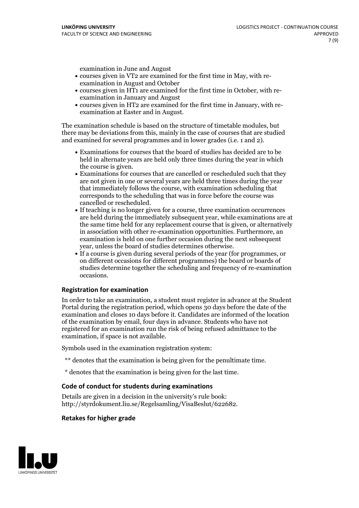examination in June and August

- courses given in VT2 are examined for the first time in May, with re-examination in August and October
- courses given in HT1 are examined for the first time in October, with re-examination in January and August
- courses given in HT2 are examined for the first time in January, with re-examination at Easter and in August.

The examination schedule is based on the structure of timetable modules, but there may be deviations from this, mainly in the case of courses that are studied and examined for several programmes and in lower grades (i.e. 1 and 2).

- Examinations for courses that the board of studies has decided are to be held in alternate years are held only three times during the year in which
- the course is given.<br>• Examinations for courses that are cancelled or rescheduled such that they are not given in one or several years are held three times during the year that immediately follows the course, with examination scheduling that corresponds to the scheduling that was in force before the course was cancelled or rescheduled.<br>• If teaching is no longer given for a course, three examination occurrences
- are held during the immediately subsequent year, while examinations are at the same time held for any replacement course that is given, or alternatively in association with other re-examination opportunities. Furthermore, an examination is held on one further occasion during the next subsequent year, unless the board of studies determines otherwise.<br>• If a course is given during several periods of the year (for programmes, or
- on different occasions for different programmes) the board orboards of studies determine together the scheduling and frequency of re-examination occasions.

### **Registration for examination**

In order to take an examination, a student must register in advance at the Student Portal during the registration period, which opens 30 days before the date of the examination and closes 10 days before it. Candidates are informed of the location of the examination by email, four days in advance. Students who have not registered for an examination run the risk of being refused admittance to the examination, if space is not available.

Symbols used in the examination registration system:

- \*\* denotes that the examination is being given for the penultimate time.
- \* denotes that the examination is being given for the last time.

### **Code of conduct for students during examinations**

Details are given in a decision in the university's rule book: http://styrdokument.liu.se/Regelsamling/VisaBeslut/622682.

### **Retakes for higher grade**

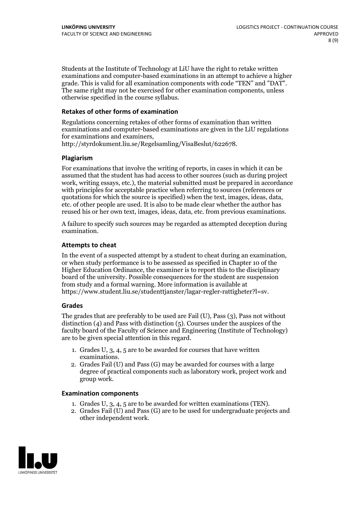Students at the Institute of Technology at LiU have the right to retake written examinations and computer-based examinations in an attempt to achieve a higher grade. This is valid for all examination components with code "TEN" and "DAT". The same right may not be exercised for other examination components, unless otherwise specified in the course syllabus.

### **Retakes of other forms of examination**

Regulations concerning retakes of other forms of examination than written examinations and computer-based examinations are given in the LiU regulations for examinations and examiners, http://styrdokument.liu.se/Regelsamling/VisaBeslut/622678.

### **Plagiarism**

For examinations that involve the writing of reports, in cases in which it can be assumed that the student has had access to other sources (such as during project work, writing essays, etc.), the material submitted must be prepared in accordance with principles for acceptable practice when referring to sources (references or quotations for which the source is specified) when the text, images, ideas, data, etc. of other people are used. It is also to be made clear whether the author has reused his or her own text, images, ideas, data, etc. from previous examinations.

A failure to specify such sources may be regarded as attempted deception during examination.

### **Attempts to cheat**

In the event of <sup>a</sup> suspected attempt by <sup>a</sup> student to cheat during an examination, or when study performance is to be assessed as specified in Chapter <sup>10</sup> of the Higher Education Ordinance, the examiner is to report this to the disciplinary board of the university. Possible consequences for the student are suspension from study and a formal warning. More information is available at https://www.student.liu.se/studenttjanster/lagar-regler-rattigheter?l=sv.

### **Grades**

The grades that are preferably to be used are Fail (U), Pass (3), Pass not without distinction  $(4)$  and Pass with distinction  $(5)$ . Courses under the auspices of the faculty board of the Faculty of Science and Engineering (Institute of Technology) are to be given special attention in this regard.

- 1. Grades U, 3, 4, 5 are to be awarded for courses that have written
- examinations. 2. Grades Fail (U) and Pass (G) may be awarded for courses with <sup>a</sup> large degree of practical components such as laboratory work, project work and group work.

### **Examination components**

- 
- 1. Grades U, 3, 4, <sup>5</sup> are to be awarded for written examinations (TEN). 2. Grades Fail (U) and Pass (G) are to be used for undergraduate projects and other independent work.